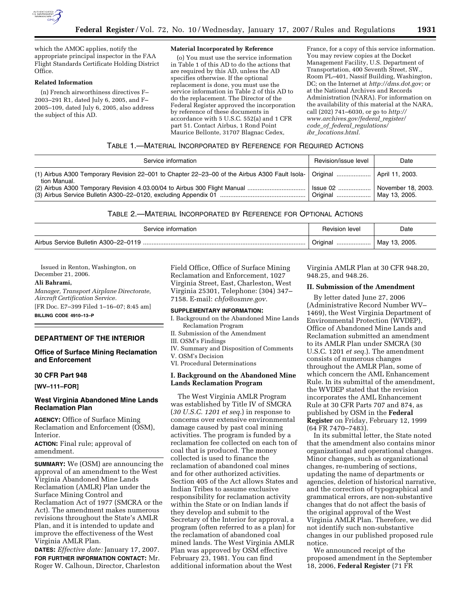

which the AMOC applies, notify the appropriate principal inspector in the FAA Flight Standards Certificate Holding District Office.

### **Related Information**

(n) French airworthiness directives F– 2003–291 R1, dated July 6, 2005, and F– 2005–109, dated July 6, 2005, also address the subject of this AD.

#### **Material Incorporated by Reference**

(o) You must use the service information in Table 1 of this AD to do the actions that are required by this AD, unless the AD specifies otherwise. If the optional replacement is done, you must use the service information in Table 2 of this AD to do the replacement. The Director of the Federal Register approved the incorporation by reference of these documents in accordance with 5 U.S.C. 552(a) and 1 CFR part 51. Contact Airbus, 1 Rond Point Maurice Bellonte, 31707 Blagnac Cedex,

France, for a copy of this service information. You may review copies at the Docket Management Facility, U.S. Department of Transportation, 400 Seventh Street, SW., Room PL–401, Nassif Building, Washington, DC; on the Internet at *http://dms.dot.gov;* or at the National Archives and Records Administration (NARA). For information on the availability of this material at the NARA, call (202) 741–6030, or go to *http:// www.archives.gov/federal*\_*register/ code*\_*of*\_*federal*\_*regulations/ ibr*\_*locations.html.* 

# TABLE 1.—MATERIAL INCORPORATED BY REFERENCE FOR REQUIRED ACTIONS

| Service information | Revision/issue level                | Date                                |
|---------------------|-------------------------------------|-------------------------------------|
| tion Manual.        |                                     |                                     |
|                     | ⊟ssue 02 <sup>1</sup><br>  Original | November 18, 2003.<br>May 13, 2005. |

## TABLE 2.—MATERIAL INCORPORATED BY REFERENCE FOR OPTIONAL ACTIONS

| Service information | <b>Revision level</b> | Date                        |
|---------------------|-----------------------|-----------------------------|
|                     | Original              | $\frac{1}{2}$ May 13, 2005. |

Issued in Renton, Washington, on December 21, 2006.

## **Ali Bahrami,**

*Manager, Transport Airplane Directorate, Aircraft Certification Service.*  [FR Doc. E7–399 Filed 1–16–07; 8:45 am] **BILLING CODE 4910–13–P** 

## **DEPARTMENT OF THE INTERIOR**

## **Office of Surface Mining Reclamation and Enforcement**

# **30 CFR Part 948**

**[WV–111–FOR]** 

# **West Virginia Abandoned Mine Lands Reclamation Plan**

**AGENCY:** Office of Surface Mining Reclamation and Enforcement (OSM), Interior.

**ACTION:** Final rule; approval of amendment.

**SUMMARY:** We (OSM) are announcing the approval of an amendment to the West Virginia Abandoned Mine Lands Reclamation (AMLR) Plan under the Surface Mining Control and Reclamation Act of 1977 (SMCRA or the Act). The amendment makes numerous revisions throughout the State's AMLR Plan, and it is intended to update and improve the effectiveness of the West Virginia AMLR Plan.

**DATES:** *Effective date:* January 17, 2007. **FOR FURTHER INFORMATION CONTACT:** Mr. Roger W. Calhoun, Director, Charleston Field Office, Office of Surface Mining Reclamation and Enforcement, 1027 Virginia Street, East, Charleston, West Virginia 25301, Telephone: (304) 347– 7158. E-mail: *chfo@osmre.gov.* 

### **SUPPLEMENTARY INFORMATION:**

- I. Background on the Abandoned Mine Lands Reclamation Program
- II. Submission of the Amendment
- III. OSM's Findings
- IV. Summary and Disposition of Comments V. OSM's Decision
- VI. Procedural Determinations

# **I. Background on the Abandoned Mine Lands Reclamation Program**

The West Virginia AMLR Program was established by Title IV of SMCRA (*30 U.S.C. 1201 et seq.*) in response to concerns over extensive environmental damage caused by past coal mining activities. The program is funded by a reclamation fee collected on each ton of coal that is produced. The money collected is used to finance the reclamation of abandoned coal mines and for other authorized activities. Section 405 of the Act allows States and Indian Tribes to assume exclusive responsibility for reclamation activity within the State or on Indian lands if they develop and submit to the Secretary of the Interior for approval, a program (often referred to as a plan) for the reclamation of abandoned coal mined lands. The West Virginia AMLR Plan was approved by OSM effective February 23, 1981. You can find additional information about the West

Virginia AMLR Plan at 30 CFR 948.20, 948.25, and 948.26.

### **II. Submission of the Amendment**

By letter dated June 27, 2006 (Administrative Record Number WV– 1469), the West Virginia Department of Environmental Protection (WVDEP), Office of Abandoned Mine Lands and Reclamation submitted an amendment to its AMLR Plan under SMCRA (30 U.S.C. 1201 *et seq.*). The amendment consists of numerous changes throughout the AMLR Plan, some of which concern the AML Enhancement Rule. In its submittal of the amendment, the WVDEP stated that the revision incorporates the AML Enhancement Rule at 30 CFR Parts 707 and 874, as published by OSM in the **Federal Register** on Friday, February 12, 1999 (64 FR 7470–7483).

In its submittal letter, the State noted that the amendment also contains minor organizational and operational changes. Minor changes, such as organizational changes, re-numbering of sections, updating the name of departments or agencies, deletion of historical narrative, and the correction of typographical and grammatical errors, are non-substantive changes that do not affect the basis of the original approval of the West Virginia AMLR Plan. Therefore, we did not identify such non-substantive changes in our published proposed rule notice.

We announced receipt of the proposed amendment in the September 18, 2006, **Federal Register** (71 FR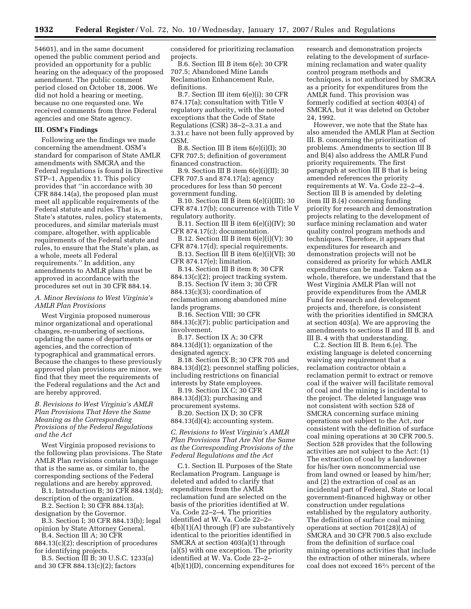54601), and in the same document opened the public comment period and provided an opportunity for a public hearing on the adequacy of the proposed amendment. The public comment period closed on October 18, 2006. We did not hold a hearing or meeting, because no one requested one. We received comments from three Federal agencies and one State agency.

## **III. OSM's Findings**

Following are the findings we made concerning the amendment. OSM's standard for comparison of State AMLR amendments with SMCRA and the Federal regulations is found in Directive STP–1, Appendix 11. This policy provides that ''in accordance with 30 CFR 884.14(a), the proposed plan must meet all applicable requirements of the Federal statute and rules. That is, a State's statutes, rules, policy statements, procedures, and similar materials must compare, altogether, with applicable requirements of the Federal statute and rules, to ensure that the State's plan, as a whole, meets all Federal requirements.'' In addition, any amendments to AMLR plans must be approved in accordance with the procedures set out in 30 CFR 884.14.

*A. Minor Revisions to West Virginia's AMLR Plan Provisions* 

West Virginia proposed numerous minor organizational and operational changes, re-numbering of sections, updating the name of departments or agencies, and the correction of typographical and grammatical errors. Because the changes to these previously approved plan provisions are minor, we find that they meet the requirements of the Federal regulations and the Act and are hereby approved.

# *B. Revisions to West Virginia's AMLR Plan Provisions That Have the Same Meaning as the Corresponding Provisions of the Federal Regulations and the Act*

West Virginia proposed revisions to the following plan provisions. The State AMLR Plan revisions contain language that is the same as, or similar to, the corresponding sections of the Federal regulations and are hereby approved.

B.1. Introduction B; 30 CFR 884.13(d); description of the organization.

B.2. Section I; 30 CFR 884.13(a); designation by the Governor.

B.3. Section I; 30 CFR 884.13(b); legal opinion by State Attorney General.

B.4. Section III A; 30 CFR 884.13(c)(2); description of procedures

for identifying projects. B.5. Section III B; 30 U.S.C. 1233(a) and 30 CFR 884.13(c)(2); factors

considered for prioritizing reclamation projects.

B.6. Section III B item 6(e); 30 CFR 707.5; Abandoned Mine Lands Reclamation Enhancement Rule, definitions.

B.7. Section III item 6(e)(i); 30 CFR 874.17(a); consultation with Title V regulatory authority, with the noted exceptions that the Code of State Regulations (CSR) 38–2–3.31.a and 3.31.c have not been fully approved by OSM.

B.8. Section III B item  $6(e)(i)(I);$  30 CFR 707.5; definition of government financed construction.

B.9. Section III B item  $6(e)(i)(II)$ ; 30 CFR 707.5 and 874.17(a); agency procedures for less than 50 percent government funding.

B.10. Section III B item 6(e)(i)(III); 30 CFR 874.17(b); concurrence with Title V regulatory authority.

B.11. Section III B item  $6(e)(i)(IV)$ ; 30 CFR 874.17(c); documentation.

B.12. Section III B item  $6(e)(i)(V)$ ; 30 CFR 874.17(d); special requirements.

B.13. Section III B item  $6(e)(i)(VI)$ ; 30 CFR 874.17(e); limitation.

B.14. Section III B item 8; 30 CFR 884.13(c)(2); project tracking system. B.15. Section IV item 3; 30 CFR  $884.13(c)(3)$ ; coordination of reclamation among abandoned mine

lands programs. B.16. Section VIII; 30 CFR

884.13(c)(7); public participation and involvement.

B.17. Section IX A; 30 CFR 884.13(d)(1); organization of the designated agency.

B.18. Section IX B; 30 CFR 705 and 884.13(d)(2); personnel staffing policies, including restrictions on financial interests by State employees.

B.19. Section IX C; 30 CFR 884.13(d)(3); purchasing and procurement systems.

B.20. Section IX D; 30 CFR  $884.13(d)(4)$ ; accounting system.

*C. Revisions to West Virginia's AMLR Plan Provisions That Are Not the Same as the Corresponding Provisions of the Federal Regulations and the Act* 

C.1. Section II. Purposes of the State Reclamation Program. Language is deleted and added to clarify that expenditures from the AMLR reclamation fund are selected on the basis of the priorities identified at W. Va. Code 22–2–4. The priorities identified at W. Va. Code 22–2–  $4(b)(1)(A)$  through  $(F)$  are substantively identical to the priorities identified in SMCRA at section 403(a)(1) through (a)(5) with one exception. The priority identified at W. Va. Code 22–2– 4(b)(1)(D), concerning expenditures for

research and demonstration projects relating to the development of surfacemining reclamation and water quality control program methods and techniques, is not authorized by SMCRA as a priority for expenditures from the AMLR fund. This provision was formerly codified at section 403(4) of SMCRA, but it was deleted on October 24, 1992.

However, we note that the State has also amended the AMLR Plan at Section III. B. concerning the prioritization of problems. Amendments to section III B and B(4) also address the AMLR Fund priority requirements. The first paragraph at section III B that is being amended references the priority requirements at W. Va. Code 22–2–4. Section III B is amended by deleting item III B.(4) concerning funding priority for research and demonstration projects relating to the development of surface mining reclamation and water quality control program methods and techniques. Therefore, it appears that expenditures for research and demonstration projects will not be considered as priority for which AMLR expenditures can be made. Taken as a whole, therefore, we understand that the West Virginia AMLR Plan will not provide expenditures from the AMLR Fund for research and development projects and, therefore, is consistent with the priorities identified in SMCRA at section 403(a). We are approving the amendments to sections II and III B. and III B. 4 with that understanding.

C.2. Section III B. Item 6.(e). The existing language is deleted concerning waiving any requirement that a reclamation contractor obtain a reclamation permit to extract or remove coal if the waiver will facilitate removal of coal and the mining is incidental to the project. The deleted language was not consistent with section 528 of SMCRA concerning surface mining operations not subject to the Act, nor consistent with the definition of surface coal mining operations at 30 CFR 700.5. Section 528 provides that the following activities are not subject to the Act: (1) The extraction of coal by a landowner for his/her own noncommercial use from land owned or leased by him/her; and (2) the extraction of coal as an incidental part of Federal, State or local government-financed highway or other construction under regulations established by the regulatory authority. The definition of surface coal mining operations at section 701(28)(A) of SMCRA and 30 CFR 700.5 also exclude from the definition of surface coal mining operations activities that include the extraction of other minerals, where coal does not exceed 162⁄3 percent of the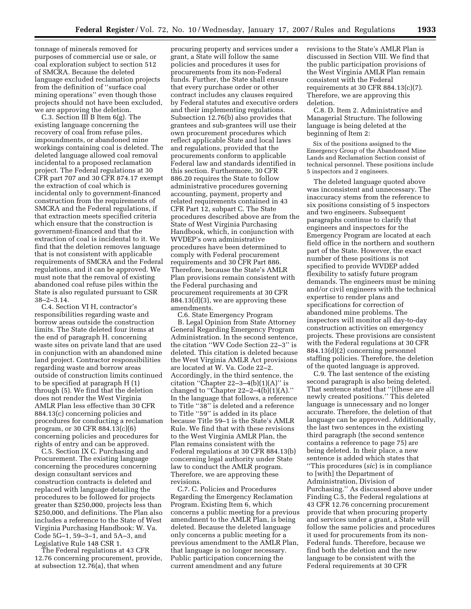tonnage of minerals removed for purposes of commercial use or sale, or coal exploration subject to section 512 of SMCRA. Because the deleted language excluded reclamation projects from the definition of ''surface coal mining operations'' even though those projects should not have been excluded, we are approving the deletion.

C.3. Section III B Item 6(g). The existing language concerning the recovery of coal from refuse piles, impoundments, or abandoned mine workings containing coal is deleted. The deleted language allowed coal removal incidental to a proposed reclamation project. The Federal regulations at 30 CFR part 707 and 30 CFR 874.17 exempt the extraction of coal which is incidental only to government-financed construction from the requirements of SMCRA and the Federal regulations, if that extraction meets specified criteria which ensure that the construction is government-financed and that the extraction of coal is incidental to it. We find that the deletion removes language that is not consistent with applicable requirements of SMCRA and the Federal regulations, and it can be approved. We must note that the removal of existing abandoned coal refuse piles within the State is also regulated pursuant to CSR 38–2–3.14.

C.4. Section VI H, contractor's responsibilities regarding waste and borrow areas outside the construction limits. The State deleted four items at the end of paragraph H. concerning waste sites on private land that are used in conjunction with an abandoned mine land project. Contractor responsibilities regarding waste and borrow areas outside of construction limits continued to be specified at paragraph H (1) through (5). We find that the deletion does not render the West Virginia AMLR Plan less effective than 30 CFR 884.13(c) concerning policies and procedures for conducting a reclamation program, or 30 CFR 884.13(c)(6) concerning policies and procedures for rights of entry and can be approved.

C.5. Section IX C. Purchasing and Procurement. The existing language concerning the procedures concerning design consultant services and construction contracts is deleted and replaced with language detailing the procedures to be followed for projects greater than \$250,000, projects less than \$250,000, and definitions. The Plan also includes a reference to the State of West Virginia Purchasing Handbook: W. Va. Code 5G–1, 59–3–1, and 5A–3, and Legislative Rule 148 CSR 1.

The Federal regulations at 43 CFR 12.76 concerning procurement, provide, at subsection 12.76(a), that when

procuring property and services under a grant, a State will follow the same policies and procedures it uses for procurements from its non-Federal funds. Further, the State shall ensure that every purchase order or other contract includes any clauses required by Federal statutes and executive orders and their implementing regulations. Subsection 12.76(b) also provides that grantees and sub-grantees will use their own procurement procedures which reflect applicable State and local laws and regulations, provided that the procurements conform to applicable Federal law and standards identified in this section. Furthermore, 30 CFR 886.20 requires the State to follow administrative procedures governing accounting, payment, property and related requirements contained in 43 CFR Part 12, subpart C. The State procedures described above are from the State of West Virginia Purchasing Handbook, which, in conjunction with WVDEP's own administrative procedures have been determined to comply with Federal procurement requirements and 30 CFR Part 886. Therefore, because the State's AMLR Plan provisions remain consistent with the Federal purchasing and procurement requirements at 30 CFR 884.13(d)(3), we are approving these amendments.

C.6. State Emergency Program B. Legal Opinion from State Attorney General Regarding Emergency Program Administration. In the second sentence, the citation ''WV Code Section 22–3'' is deleted. This citation is deleted because the West Virginia AMLR Act provisions are located at W. Va. Code 22–2. Accordingly, in the third sentence, the citation "Chapter  $22-3-4(b)(1)(A)$ " is changed to "Chapter  $22-2-4(b)(1)(A)$ ." In the language that follows, a reference to Title ''38'' is deleted and a reference to Title ''59'' is added in its place because Title 59–1 is the State's AMLR Rule. We find that with these revisions to the West Virginia AMLR Plan, the Plan remains consistent with the Federal regulations at 30 CFR 884.13(b) concerning legal authority under State law to conduct the AMLR program. Therefore, we are approving these revisions.

C.7. C. Policies and Procedures Regarding the Emergency Reclamation Program. Existing Item 6, which concerns a public meeting for a previous amendment to the AMLR Plan, is being deleted. Because the deleted language only concerns a public meeting for a previous amendment to the AMLR Plan, that language is no longer necessary. Public participation concerning the current amendment and any future

revisions to the State's AMLR Plan is discussed in Section VIII. We find that the public participation provisions of the West Virginia AMLR Plan remain consistent with the Federal requirements at 30 CFR 884.13(c)(7). Therefore, we are approving this deletion.

C.8. D. Item 2. Administrative and Managerial Structure. The following language is being deleted at the beginning of Item 2:

Six of the positions assigned to the Emergency Group of the Abandoned Mine Lands and Reclamation Section consist of technical personnel. These positions include 5 inspectors and 2 engineers.

The deleted language quoted above was inconsistent and unnecessary. The inaccuracy stems from the reference to six positions consisting of 5 inspectors and two engineers. Subsequent paragraphs continue to clarify that engineers and inspectors for the Emergency Program are located at each field office in the northern and southern part of the State. However, the exact number of these positions is not specified to provide WVDEP added flexibility to satisfy future program demands. The engineers must be mining and/or civil engineers with the technical expertise to render plans and specifications for correction of abandoned mine problems. The inspectors will monitor all day-to-day construction activities on emergency projects. These provisions are consistent with the Federal regulations at 30 CFR 884.13(d)(2) concerning personnel staffing policies. Therefore, the deletion of the quoted language is approved.

C.9. The last sentence of the existing second paragraph is also being deleted. That sentence stated that ''[t]hese are all newly created positions.'' This deleted language is unnecessary and no longer accurate. Therefore, the deletion of that language can be approved. Additionally, the last two sentences in the existing third paragraph (the second sentence contains a reference to page 75) are being deleted. In their place, a new sentence is added which states that ''This procedures (*sic*) is in compliance to [with] the Department of Administration, Division of Purchasing.'' As discussed above under Finding C.5, the Federal regulations at 43 CFR 12.76 concerning procurement provide that when procuring property and services under a grant, a State will follow the same policies and procedures it used for procurements from its non-Federal funds. Therefore, because we find both the deletion and the new language to be consistent with the Federal requirements at 30 CFR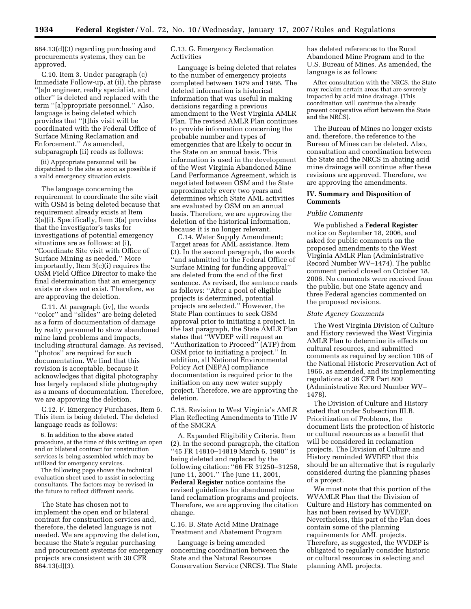884.13(d)(3) regarding purchasing and procurements systems, they can be approved.

C.10. Item 3. Under paragraph (c) Immediate Follow-up, at (ii), the phrase ''[a]n engineer, realty specialist, and other'' is deleted and replaced with the term ''[a]ppropriate personnel.'' Also, language is being deleted which provides that ''[t]his visit will be coordinated with the Federal Office of Surface Mining Reclamation and Enforcement.'' As amended, subparagraph (ii) reads as follows:

(ii) Appropriate personnel will be dispatched to the site as soon as possible if a valid emergency situation exists.

The language concerning the requirement to coordinate the site visit with OSM is being deleted because that requirement already exists at Item 3(a)(i). Specifically, Item 3(a) provides that the investigator's tasks for investigations of potential emergency situations are as follows: at (i), ''Coordinate Site visit with Office of Surface Mining as needed.'' More importantly, Item 3(c)(i) requires the OSM Field Office Director to make the final determination that an emergency exists or does not exist. Therefore, we are approving the deletion.

C.11. At paragraph (iv), the words ''color'' and ''slides'' are being deleted as a form of documentation of damage by realty personnel to show abandoned mine land problems and impacts, including structural damage. As revised, ''photos'' are required for such documentation. We find that this revision is acceptable, because it acknowledges that digital photography has largely replaced slide photography as a means of documentation. Therefore, we are approving the deletion.

C.12. F. Emergency Purchases, Item 6. This item is being deleted. The deleted language reads as follows:

6. In addition to the above stated procedure, at the time of this writing an open end or bilateral contract for construction services is being assembled which may be utilized for emergency services.

The following page shows the technical evaluation sheet used to assist in selecting consultants. The factors may be revised in the future to reflect different needs.

The State has chosen not to implement the open end or bilateral contract for construction services and, therefore, the deleted language is not needed. We are approving the deletion, because the State's regular purchasing and procurement systems for emergency projects are consistent with 30 CFR 884.13(d)(3).

C.13. G. Emergency Reclamation Activities

Language is being deleted that relates to the number of emergency projects completed between 1979 and 1986. The deleted information is historical information that was useful in making decisions regarding a previous amendment to the West Virginia AMLR Plan. The revised AMLR Plan continues to provide information concerning the probable number and types of emergencies that are likely to occur in the State on an annual basis. This information is used in the development of the West Virginia Abandoned Mine Land Performance Agreement, which is negotiated between OSM and the State approximately every two years and determines which State AML activities are evaluated by OSM on an annual basis. Therefore, we are approving the deletion of the historical information, because it is no longer relevant.

C.14. Water Supply Amendment; Target areas for AML assistance. Item (3). In the second paragraph, the words ''and submitted to the Federal Office of Surface Mining for funding approval'' are deleted from the end of the first sentence. As revised, the sentence reads as follows: ''After a pool of eligible projects is determined, potential projects are selected.'' However, the State Plan continues to seek OSM approval prior to initiating a project. In the last paragraph, the State AMLR Plan states that ''WVDEP will request an ''Authorization to Proceed'' (ATP) from OSM prior to initiating a project.'' In addition, all National Environmental Policy Act (NEPA) compliance documentation is required prior to the initiation on any new water supply project. Therefore, we are approving the deletion.

C.15. Revision to West Virginia's AMLR Plan Reflecting Amendments to Title IV of the SMCRA

A. Expanded Eligibility Criteria. Item (2). In the second paragraph, the citation ''45 FR 14810–14819 March 6, 1980'' is being deleted and replaced by the following citation: ''66 FR 31250–31258, June 11, 2001.'' The June 11, 2001, **Federal Register** notice contains the revised guidelines for abandoned mine land reclamation programs and projects. Therefore, we are approving the citation change.

C.16. B. State Acid Mine Drainage Treatment and Abatement Program

Language is being amended concerning coordination between the State and the Natural Resources Conservation Service (NRCS). The State has deleted references to the Rural Abandoned Mine Program and to the U.S. Bureau of Mines. As amended, the language is as follows:

After consultation with the NRCS, the State may reclaim certain areas that are severely impacted by acid mine drainage. (This coordination will continue the already present cooperative effort between the State and the NRCS).

The Bureau of Mines no longer exists and, therefore, the reference to the Bureau of Mines can be deleted. Also, consultation and coordination between the State and the NRCS in abating acid mine drainage will continue after these revisions are approved. Therefore, we are approving the amendments.

# **IV. Summary and Disposition of Comments**

## *Public Comments*

We published a **Federal Register**  notice on September 18, 2006, and asked for public comments on the proposed amendments to the West Virginia AMLR Plan (Administrative Record Number WV–1474). The public comment period closed on October 18, 2006. No comments were received from the public, but one State agency and three Federal agencies commented on the proposed revisions.

## *State Agency Comments*

The West Virginia Division of Culture and History reviewed the West Virginia AMLR Plan to determine its effects on cultural resources, and submitted comments as required by section 106 of the National Historic Preservation Act of 1966, as amended, and its implementing regulations at 36 CFR Part 800 (Administrative Record Number WV– 1478).

The Division of Culture and History stated that under Subsection III.B, Prioritization of Problems, the document lists the protection of historic or cultural resources as a benefit that will be considered in reclamation projects. The Division of Culture and History reminded WVDEP that this should be an alternative that is regularly considered during the planning phases of a project.

We must note that this portion of the WVAMLR Plan that the Division of Culture and History has commented on has not been revised by WVDEP. Nevertheless, this part of the Plan does contain some of the planning requirements for AML projects. Therefore, as suggested, the WVDEP is obligated to regularly consider historic or cultural resources in selecting and planning AML projects.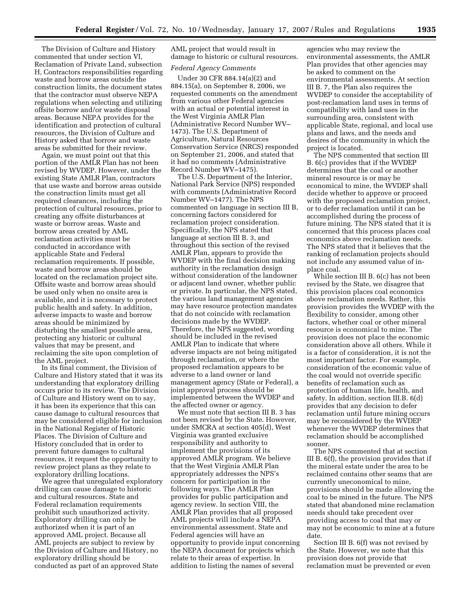The Division of Culture and History commented that under section VI, Reclamation of Private Land, subsection H, Contractors responsibilities regarding waste and borrow areas outside the construction limits, the document states that the contractor must observe NEPA regulations when selecting and utilizing offsite borrow and/or waste disposal areas. Because NEPA provides for the identification and protection of cultural resources, the Division of Culture and History asked that borrow and waste areas be submitted for their review.

Again, we must point out that this portion of the AMLR Plan has not been revised by WVDEP. However, under the existing State AMLR Plan, contractors that use waste and borrow areas outside the construction limits must get all required clearances, including the protection of cultural resources, prior to creating any offsite disturbances at waste or borrow areas. Waste and borrow areas created by AML reclamation activities must be conducted in accordance with applicable State and Federal reclamation requirements. If possible, waste and borrow areas should be located on the reclamation project site. Offsite waste and borrow areas should be used only when no onsite area is available, and it is necessary to protect public health and safety. In addition, adverse impacts to waste and borrow areas should be minimized by disturbing the smallest possible area, protecting any historic or cultural values that may be present, and reclaiming the site upon completion of the AML project.

In its final comment, the Division of Culture and History stated that it was its understanding that exploratory drilling occurs prior to its review. The Division of Culture and History went on to say, it has been its experience that this can cause damage to cultural resources that may be considered eligible for inclusion in the National Register of Historic Places. The Division of Culture and History concluded that in order to prevent future damages to cultural resources, it request the opportunity to review project plans as they relate to exploratory drilling locations.

We agree that unregulated exploratory drilling can cause damage to historic and cultural resources. State and Federal reclamation requirements prohibit such unauthorized activity. Exploratory drilling can only be authorized when it is part of an approved AML project. Because all AML projects are subject to review by the Division of Culture and History, no exploratory drilling should be conducted as part of an approved State

AML project that would result in damage to historic or cultural resources.

#### *Federal Agency Comments*

Under 30 CFR 884.14(a)(2) and 884.15(a), on September 8, 2006, we requested comments on the amendment from various other Federal agencies with an actual or potential interest in the West Virginia AMLR Plan (Administrative Record Number WV– 1473). The U.S. Department of Agriculture, Natural Resources Conservation Service (NRCS) responded on September 21, 2006, and stated that it had no comments (Administrative Record Number WV–1475).

The U.S. Department of the Interior, National Park Service (NPS) responded with comments (Administrative Record Number WV–1477). The NPS commented on language in section III B, concerning factors considered for reclamation project consideration. Specifically, the NPS stated that language at section III B. 3, and throughout this section of the revised AMLR Plan, appears to provide the WVDEP with the final decision making authority in the reclamation design without consideration of the landowner or adjacent land owner, whether public or private. In particular, the NPS stated, the various land management agencies may have resource protection mandates that do not coincide with reclamation decisions made by the WVDEP. Therefore, the NPS suggested, wording should be included in the revised AMLR Plan to indicate that where adverse impacts are not being mitigated through reclamation, or where the proposed reclamation appears to be adverse to a land owner or land management agency (State or Federal), a joint approval process should be implemented between the WVDEP and the affected owner or agency.

We must note that section III B. 3 has not been revised by the State. However, under SMCRA at section 405(d), West Virginia was granted exclusive responsibility and authority to implement the provisions of its approved AMLR program. We believe that the West Virginia AMLR Plan appropriately addresses the NPS's concern for participation in the following ways. The AMLR Plan provides for public participation and agency review. In section VIII, the AMLR Plan provides that all proposed AML projects will include a NEPA environmental assessment. State and Federal agencies will have an opportunity to provide input concerning the NEPA document for projects which relate to their areas of expertise. In addition to listing the names of several

agencies who may review the environmental assessments, the AMLR Plan provides that other agencies may be asked to comment on the environmental assessments. At section III B. 7, the Plan also requires the WVDEP to consider the acceptability of post-reclamation land uses in terms of compatibility with land uses in the surrounding area, consistent with applicable State, regional, and local use plans and laws, and the needs and desires of the community in which the project is located.

The NPS commented that section III B. 6(c) provides that if the WVDEP determines that the coal or another mineral resource is or may be economical to mine, the WVDEP shall decide whether to approve or proceed with the proposed reclamation project, or to defer reclamation until it can be accomplished during the process of future mining. The NPS stated that it is concerned that this process places coal economics above reclamation needs. The NPS stated that it believes that the ranking of reclamation projects should not include any assumed value of inplace coal.

While section III B. 6(c) has not been revised by the State, we disagree that this provision places coal economics above reclamation needs. Rather, this provision provides the WVDEP with the flexibility to consider, among other factors, whether coal or other mineral resource is economical to mine. The provision does not place the economic consideration above all others. While it is a factor of consideration, it is not the most important factor. For example, consideration of the economic value of the coal would not override specific benefits of reclamation such as protection of human life, health, and safety. In addition, section III.B. 6(d) provides that any decision to defer reclamation until future mining occurs may be reconsidered by the WVDEP whenever the WVDEP determines that reclamation should be accomplished sooner.

The NPS commented that at section III B. 6(f), the provision provides that if the mineral estate under the area to be reclaimed contains other seams that are currently uneconomical to mine, provisions should be made allowing the coal to be mined in the future. The NPS stated that abandoned mine reclamation needs should take precedent over providing access to coal that may or may not be economic to mine at a future date.

Section III B. 6(f) was not revised by the State. However, we note that this provision does not provide that reclamation must be prevented or even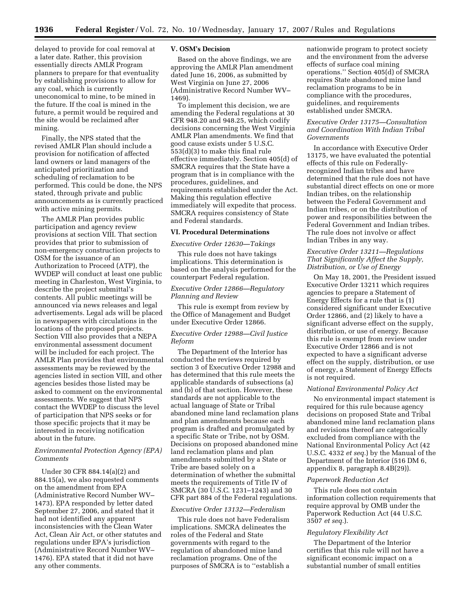delayed to provide for coal removal at a later date. Rather, this provision essentially directs AMLR Program planners to prepare for that eventuality by establishing provisions to allow for any coal, which is currently uneconomical to mine, to be mined in the future. If the coal is mined in the future, a permit would be required and the site would be reclaimed after mining.

Finally, the NPS stated that the revised AMLR Plan should include a provision for notification of affected land owners or land managers of the anticipated prioritization and scheduling of reclamation to be performed. This could be done, the NPS stated, through private and public announcements as is currently practiced with active mining permits.

The AMLR Plan provides public participation and agency review provisions at section VIII. That section provides that prior to submission of non-emergency construction projects to OSM for the issuance of an Authorization to Proceed (ATP), the WVDEP will conduct at least one public meeting in Charleston, West Virginia, to describe the project submittal's contents. All public meetings will be announced via news releases and legal advertisements. Legal ads will be placed in newspapers with circulations in the locations of the proposed projects. Section VIII also provides that a NEPA environmental assessment document will be included for each project. The AMLR Plan provides that environmental assessments may be reviewed by the agencies listed in section VIII, and other agencies besides those listed may be asked to comment on the environmental assessments. We suggest that NPS contact the WVDEP to discuss the level of participation that NPS seeks or for those specific projects that it may be interested in receiving notification about in the future.

# *Environmental Protection Agency (EPA) Comments*

Under 30 CFR 884.14(a)(2) and 884.15(a), we also requested comments on the amendment from EPA (Administrative Record Number WV– 1473). EPA responded by letter dated September 27, 2006, and stated that it had not identified any apparent inconsistencies with the Clean Water Act, Clean Air Act, or other statutes and regulations under EPA's jurisdiction (Administrative Record Number WV– 1476). EPA stated that it did not have any other comments.

## **V. OSM's Decision**

Based on the above findings, we are approving the AMLR Plan amendment dated June 16, 2006, as submitted by West Virginia on June 27, 2006 (Administrative Record Number WV– 1469).

To implement this decision, we are amending the Federal regulations at 30 CFR 948.20 and 948.25, which codify decisions concerning the West Virginia AMLR Plan amendments. We find that good cause exists under 5 U.S.C. 553(d)(3) to make this final rule effective immediately. Section 405(d) of SMCRA requires that the State have a program that is in compliance with the procedures, guidelines, and requirements established under the Act. Making this regulation effective immediately will expedite that process. SMCRA requires consistency of State and Federal standards.

# **VI. Procedural Determinations**

#### *Executive Order 12630—Takings*

This rule does not have takings implications. This determination is based on the analysis performed for the counterpart Federal regulation.

## *Executive Order 12866—Regulatory Planning and Review*

This rule is exempt from review by the Office of Management and Budget under Executive Order 12866.

# *Executive Order 12988—Civil Justice Reform*

The Department of the Interior has conducted the reviews required by section 3 of Executive Order 12988 and has determined that this rule meets the applicable standards of subsections (a) and (b) of that section. However, these standards are not applicable to the actual language of State or Tribal abandoned mine land reclamation plans and plan amendments because each program is drafted and promulgated by a specific State or Tribe, not by OSM. Decisions on proposed abandoned mine land reclamation plans and plan amendments submitted by a State or Tribe are based solely on a determination of whether the submittal meets the requirements of Title IV of SMCRA (30 U.S.C. 1231–1243) and 30 CFR part 884 of the Federal regulations.

# *Executive Order 13132—Federalism*

This rule does not have Federalism implications. SMCRA delineates the roles of the Federal and State governments with regard to the regulation of abandoned mine land reclamation programs. One of the purposes of SMCRA is to ''establish a nationwide program to protect society and the environment from the adverse effects of surface coal mining operations.'' Section 405(d) of SMCRA requires State abandoned mine land reclamation programs to be in compliance with the procedures, guidelines, and requirements established under SMCRA.

# *Executive Order 13175—Consultation and Coordination With Indian Tribal Governments*

In accordance with Executive Order 13175, we have evaluated the potential effects of this rule on Federallyrecognized Indian tribes and have determined that the rule does not have substantial direct effects on one or more Indian tribes, on the relationship between the Federal Government and Indian tribes, or on the distribution of power and responsibilities between the Federal Government and Indian tribes. The rule does not involve or affect Indian Tribes in any way.

# *Executive Order 13211—Regulations That Significantly Affect the Supply, Distribution, or Use of Energy*

On May 18, 2001, the President issued Executive Order 13211 which requires agencies to prepare a Statement of Energy Effects for a rule that is (1) considered significant under Executive Order 12866, and (2) likely to have a significant adverse effect on the supply, distribution, or use of energy. Because this rule is exempt from review under Executive Order 12866 and is not expected to have a significant adverse effect on the supply, distribution, or use of energy, a Statement of Energy Effects is not required.

### *National Environmental Policy Act*

No environmental impact statement is required for this rule because agency decisions on proposed State and Tribal abandoned mine land reclamation plans and revisions thereof are categorically excluded from compliance with the National Environmental Policy Act (42 U.S.C. 4332 *et seq.*) by the Manual of the Department of the Interior (516 DM 6, appendix 8, paragraph 8.4B(29)).

### *Paperwork Reduction Act*

This rule does not contain information collection requirements that require approval by OMB under the Paperwork Reduction Act (44 U.S.C. 3507 *et seq.*).

# *Regulatory Flexibility Act*

The Department of the Interior certifies that this rule will not have a significant economic impact on a substantial number of small entities